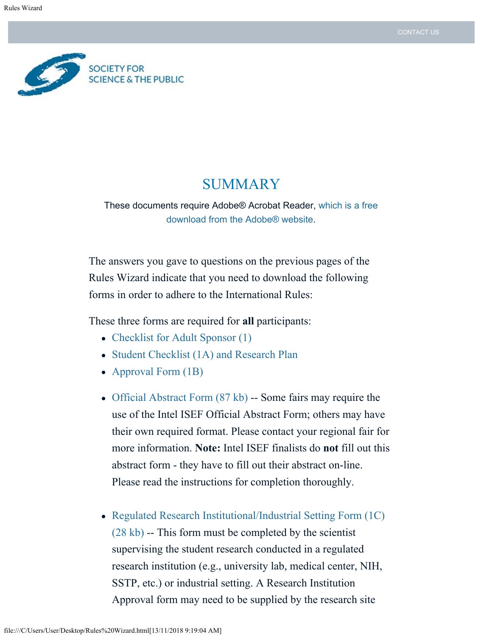

# SUMMARY

These documents require Adobe® Acrobat Reader, [which is a free](https://get.adobe.com/reader/) [download from the Adobe® website](https://get.adobe.com/reader/).

The answers you gave to questions on the previous pages of the Rules Wizard indicate that you need to download the following forms in order to adhere to the International Rules:

These three forms are required for **all** participants:

- [Checklist for Adult Sponsor \(1\)](https://sspcdn.blob.core.windows.net/files/Documents/SEP/ISEF/2019/Forms/1-Checklist-for-Adult-Sponsor.pdf)
- [Student Checklist \(1A\) and Research Plan](https://sspcdn.blob.core.windows.net/files/Documents/SEP/ISEF/2019/Forms/1A-Student-Checklist-Research-Plan-Instructions.pdf)
- [Approval Form \(1B\)](https://sspcdn.blob.core.windows.net/files/Documents/SEP/ISEF/2019/Forms/1B-Approval-Form.pdf)
- Official Abstract Form  $(87 \text{ kb})$  -- Some fairs may require the use of the Intel ISEF Official Abstract Form; others may have their own required format. Please contact your regional fair for more information. **Note:** Intel ISEF finalists do **not** fill out this abstract form - they have to fill out their abstract on-line. Please read the instructions for completion thoroughly.
- [Regulated Research Institutional/Industrial Setting Form \(1C\)](https://sspcdn.blob.core.windows.net/files/Documents/SEP/ISEF/2019/Forms/1C-Regulated-Research-Institution.pdf) [\(28 kb\)](https://sspcdn.blob.core.windows.net/files/Documents/SEP/ISEF/2019/Forms/1C-Regulated-Research-Institution.pdf) -- This form must be completed by the scientist supervising the student research conducted in a regulated research institution (e.g., university lab, medical center, NIH, SSTP, etc.) or industrial setting. A Research Institution Approval form may need to be supplied by the research site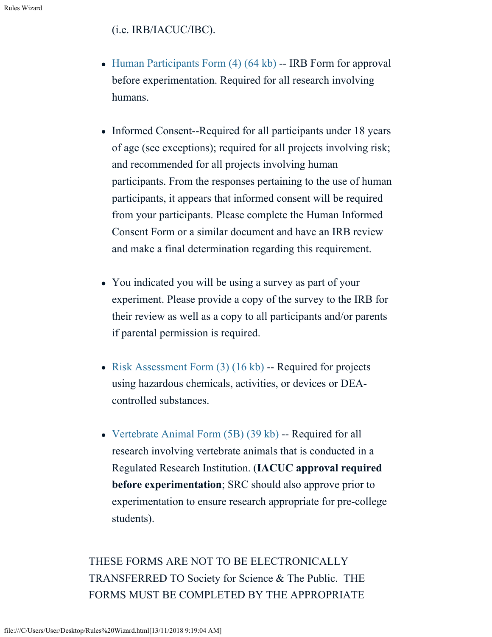# (i.e. IRB/IACUC/IBC).

- Human Participants Form  $(4)$   $(64 \text{ kb})$  -- IRB Form for approval before experimentation. Required for all research involving humans.
- Informed Consent--Required for all participants under 18 years of age (see exceptions); required for all projects involving risk; and recommended for all projects involving human participants. From the responses pertaining to the use of human participants, it appears that informed consent will be required from your participants. Please complete the Human Informed Consent Form or a similar document and have an IRB review and make a final determination regarding this requirement.
- You indicated you will be using a survey as part of your experiment. Please provide a copy of the survey to the IRB for their review as well as a copy to all participants and/or parents if parental permission is required.
- Risk Assessment Form  $(3)$  (16 kb) -- Required for projects using hazardous chemicals, activities, or devices or DEAcontrolled substances.
- [Vertebrate Animal Form \(5B\) \(39 kb\)](https://sspcdn.blob.core.windows.net/files/Documents/SEP/ISEF/2019/Forms/5AB-Vertebrate-Animal.pdf) -- Required for all research involving vertebrate animals that is conducted in a Regulated Research Institution. (**IACUC approval required before experimentation**; SRC should also approve prior to experimentation to ensure research appropriate for pre-college students).

THESE FORMS ARE NOT TO BE ELECTRONICALLY TRANSFERRED TO Society for Science & The Public. THE FORMS MUST BE COMPLETED BY THE APPROPRIATE